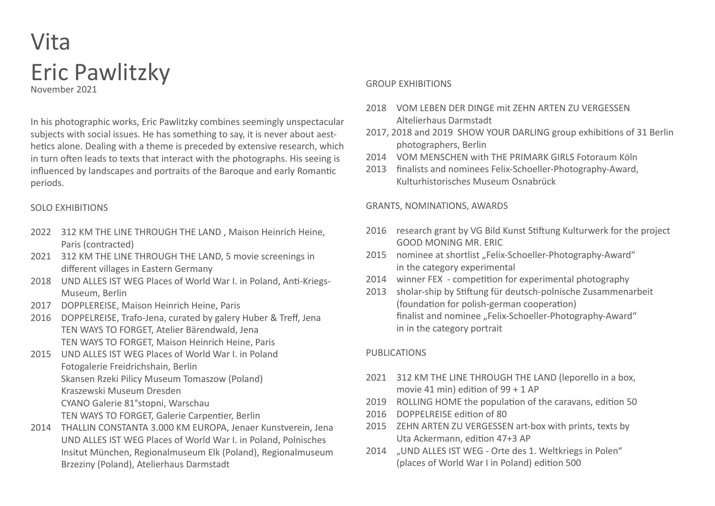# Vita Eric Pawlitzky November 2021

In his photographic works, Eric Pawlitzky combines seemingly unspectacular subjects with social issues. He has something to say, it is never about aesthetics alone. Dealing with a theme is preceded by extensive research, which in turn often leads to texts that interact with the photographs. His seeing is influenced by landscapes and portraits of the Baroque and early Romantic periods.

#### SOLO EXHIBITIONS

- 2022 312 KM THE LINE THROUGH THE LAND , Maison Heinrich Heine, Paris (contracted)
- 2021 312 KM THE LINE THROUGH THE LAND, 5 movie screenings in different villages in Eastern Germany
- 2018 UND ALLES IST WEG Places of World War I. in Poland, Anti-Kriegs-Museum, Berlin
- 2017 DOPPLEREISE, Maison Heinrich Heine, Paris
- 2016 DOPPELREISE, Trafo-Jena, curated by galery Huber & Treff, Jena TEN WAYS TO FORGET, Atelier Bärendwald, Jena TEN WAYS TO FORGET, Maison Heinrich Heine, Paris
- 2015 UND ALLES IST WEG Places of World War I. in Poland Fotogalerie Freidrichshain, Berlin Skansen Rzeki Pilicy Museum Tomaszow (Poland) Kraszewski Museum Dresden CYANO Galerie 81°stopni, Warschau
	- TEN WAYS TO FORGET, Galerie Carpentier, Berlin
- 2014 THALLIN CONSTANTA 3.000 KM EUROPA, Jenaer Kunstverein, Jena UND ALLES IST WEG Places of World War I. in Poland, Polnisches Insitut München, Regionalmuseum Elk (Poland), Regionalmuseum Brzeziny (Poland), Atelierhaus Darmstadt

#### GROUP EXHIBITIONS

- 2018 VOM LEBEN DER DINGE mit ZEHN ARTEN ZU VERGESSEN Altelierhaus Darmstadt
- 2017, 2018 and 2019 SHOW YOUR DARLING group exhibitions of 31 Berlin photographers, Berlin
- 2014 VOM MENSCHEN with THE PRIMARK GIRLS Fotoraum Köln
- 2013 finalists and nominees Felix-Schoeller-Photography-Award, Kulturhistorisches Museum Osnabrück

#### GRANTS, NOMINATIONS, AWARDS

- 2016 research grant by VG Bild Kunst Stiftung Kulturwerk for the project GOOD MONING MR. ERIC
- 2015 nominee at shortlist ..Felix-Schoeller-Photography-Award" in the category experimental
- 2014 winner FEX competition for experimental photography
- 2013 sholar-ship by Stiftung für deutsch-polnische Zusammenarbeit (foundation for polish-german cooperation) finalist and nominee ..Felix-Schoeller-Photography-Award" in in the category portrait

### PUBLICATIONS

- 2021 312 KM THE LINE THROUGH THE LAND (leporello in a box, movie 41 min) edition of 99 + 1 AP
- 2019 ROLLING HOME the population of the caravans, edition 50
- 2016 DOPPELREISE edition of 80
- 2015 ZEHN ARTEN ZU VERGESSEN art-box with prints, texts by Uta Ackermann, edition 47+3 AP
- 2014 "UND ALLES IST WEG Orte des 1. Weltkriegs in Polen" (places of World War I in Poland) edition 500